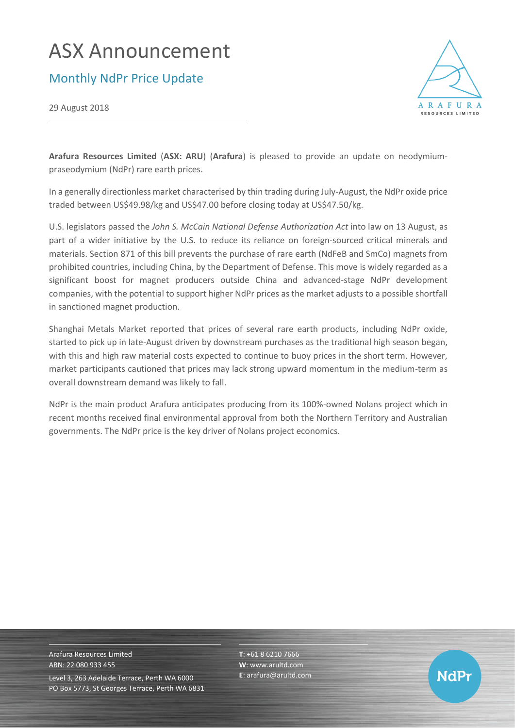# ASX Announcement

Monthly NdPr Price Update

29 August 2018



**Arafura Resources Limited** (**ASX: ARU**) (**Arafura**) is pleased to provide an update on neodymiumpraseodymium (NdPr) rare earth prices.

In a generally directionless market characterised by thin trading during July-August, the NdPr oxide price traded between US\$49.98/kg and US\$47.00 before closing today at US\$47.50/kg.

U.S. legislators passed the *John S. McCain National Defense Authorization Act* into law on 13 August, as part of a wider initiative by the U.S. to reduce its reliance on foreign-sourced critical minerals and materials. Section 871 of this bill prevents the purchase of rare earth (NdFeB and SmCo) magnets from prohibited countries, including China, by the Department of Defense. This move is widely regarded as a significant boost for magnet producers outside China and advanced-stage NdPr development companies, with the potential to support higher NdPr prices as the market adjusts to a possible shortfall in sanctioned magnet production.

Shanghai Metals Market reported that prices of several rare earth products, including NdPr oxide, started to pick up in late-August driven by downstream purchases as the traditional high season began, with this and high raw material costs expected to continue to buoy prices in the short term. However, market participants cautioned that prices may lack strong upward momentum in the medium-term as overall downstream demand was likely to fall.

NdPr is the main product Arafura anticipates producing from its 100%-owned Nolans project which in recent months received final environmental approval from both the Northern Territory and Australian governments. The NdPr price is the key driver of Nolans project economics.

Arafura Resources Limited ABN: 22 080 933 455 Level 3, 263 Adelaide Terrace, Perth WA 6000 PO Box 5773, St Georges Terrace, Perth WA 6831 **T**: +61 8 6210 7666 **W**: [www.arultd.com](http://www.arultd.com/) **E**[: arafura@arultd.com](mailto:arafura@arultd.com)

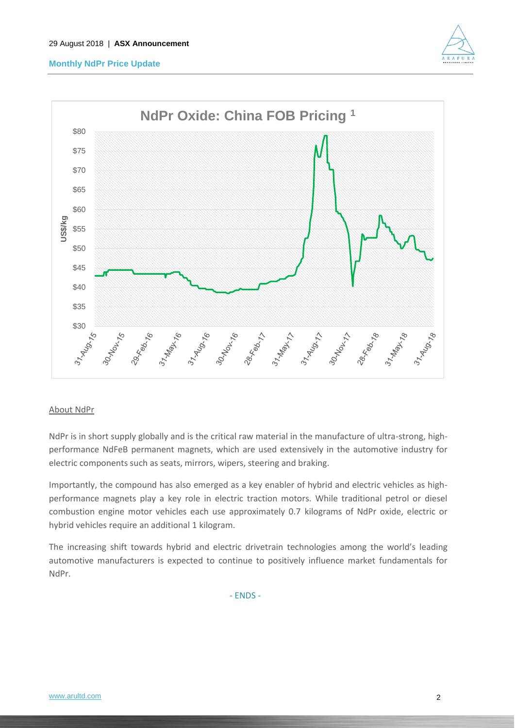# **Monthly NdPr Price Update**





### About NdPr

NdPr is in short supply globally and is the critical raw material in the manufacture of ultra-strong, highperformance NdFeB permanent magnets, which are used extensively in the automotive industry for electric components such as seats, mirrors, wipers, steering and braking.

Importantly, the compound has also emerged as a key enabler of hybrid and electric vehicles as highperformance magnets play a key role in electric traction motors. While traditional petrol or diesel combustion engine motor vehicles each use approximately 0.7 kilograms of NdPr oxide, electric or hybrid vehicles require an additional 1 kilogram.

The increasing shift towards hybrid and electric drivetrain technologies among the world's leading automotive manufacturers is expected to continue to positively influence market fundamentals for NdPr.

- ENDS -